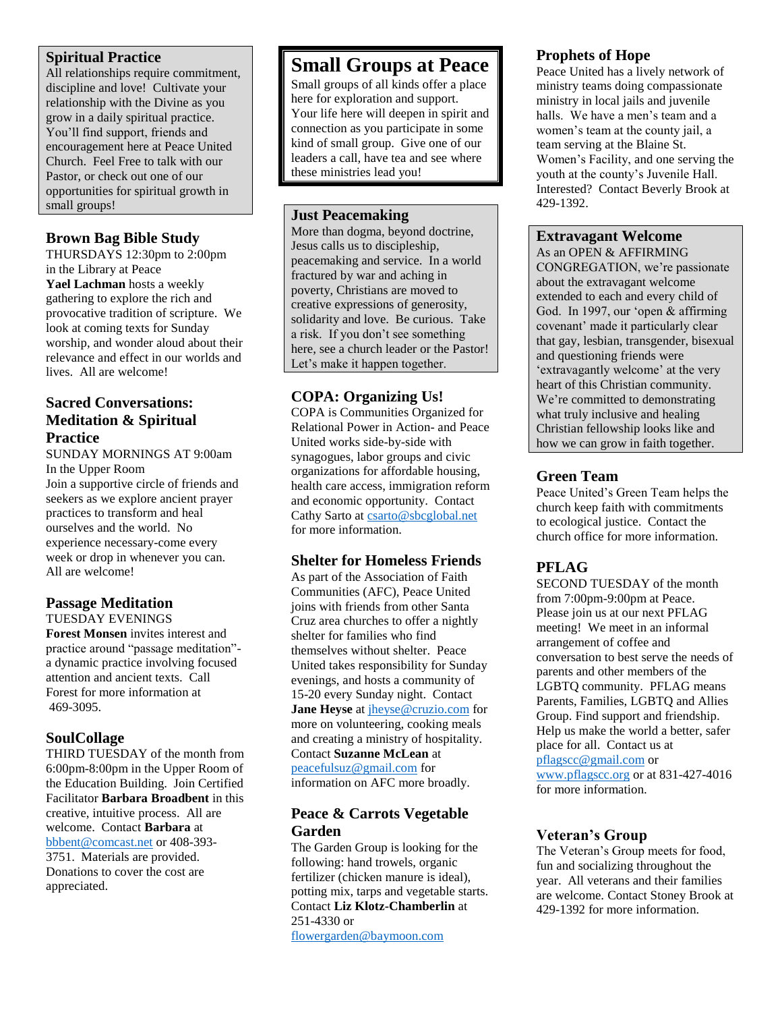#### **Spiritual Practice**

All relationships require commitment, discipline and love! Cultivate your relationship with the Divine as you grow in a daily spiritual practice. You'll find support, friends and encouragement here at Peace United Church. Feel Free to talk with our Pastor, or check out one of our opportunities for spiritual growth in small groups!

#### **Brown Bag Bible Study**

THURSDAYS 12:30pm to 2:00pm in the Library at Peace **Yael Lachman** hosts a weekly gathering to explore the rich and provocative tradition of scripture. We look at coming texts for Sunday worship, and wonder aloud about their relevance and effect in our worlds and lives. All are welcome!

#### **Sacred Conversations: Meditation & Spiritual Practice**

SUNDAY MORNINGS AT 9:00am In the Upper Room Join a supportive circle of friends and seekers as we explore ancient prayer practices to transform and heal ourselves and the world. No experience necessary-come every week or drop in whenever you can. All are welcome!

## **Passage Meditation**

#### TUESDAY EVENINGS

**Forest Monsen** invites interest and practice around "passage meditation" a dynamic practice involving focused attention and ancient texts. Call Forest for more information at 469-3095.

## **SoulCollage**

THIRD TUESDAY of the month from 6:00pm-8:00pm in the Upper Room of the Education Building. Join Certified Facilitator **Barbara Broadbent** in this creative, intuitive process. All are welcome. Contact **Barbara** at [bbbent@comcast.net](mailto:bbbent@comcast.net) or 408-393- 3751. Materials are provided. Donations to cover the cost are appreciated.

# **Small Groups at Peace**

Small groups of all kinds offer a place here for exploration and support. Your life here will deepen in spirit and connection as you participate in some kind of small group. Give one of our leaders a call, have tea and see where these ministries lead you!

#### **Just Peacemaking**

More than dogma, beyond doctrine, Jesus calls us to discipleship, peacemaking and service. In a world fractured by war and aching in poverty, Christians are moved to creative expressions of generosity, solidarity and love. Be curious. Take a risk. If you don't see something here, see a church leader or the Pastor! Let's make it happen together.

### **COPA: Organizing Us!**

COPA is Communities Organized for Relational Power in Action- and Peace United works side-by-side with synagogues, labor groups and civic organizations for affordable housing, health care access, immigration reform and economic opportunity. Contact Cathy Sarto a[t csarto@sbcglobal.net](mailto:csarto@sbcglobal.net) for more information.

#### **Shelter for Homeless Friends**

As part of the Association of Faith Communities (AFC), Peace United joins with friends from other Santa Cruz area churches to offer a nightly shelter for families who find themselves without shelter. Peace United takes responsibility for Sunday evenings, and hosts a community of 15-20 every Sunday night. Contact

**Jane Heyse** at *jheyse@cruzio.com* for more on volunteering, cooking meals and creating a ministry of hospitality. Contact **Suzanne McLean** at [peacefulsuz@gmail.com](mailto:peacefulsuz@gmail.com) for

information on AFC more broadly.

### **Peace & Carrots Vegetable Garden**

The Garden Group is looking for the following: hand trowels, organic fertilizer (chicken manure is ideal), potting mix, tarps and vegetable starts. Contact **Liz Klotz-Chamberlin** at 251-4330 or

[flowergarden@baymoon.com](mailto:flowergarden@baymoon.com)

#### **Prophets of Hope**

Peace United has a lively network of ministry teams doing compassionate ministry in local jails and juvenile halls. We have a men's team and a women's team at the county jail, a team serving at the Blaine St. Women's Facility, and one serving the youth at the county's Juvenile Hall. Interested? Contact Beverly Brook at 429-1392.

#### **Extravagant Welcome**

As an OPEN & AFFIRMING CONGREGATION, we're passionate about the extravagant welcome extended to each and every child of God. In 1997, our 'open & affirming covenant' made it particularly clear that gay, lesbian, transgender, bisexual and questioning friends were 'extravagantly welcome' at the very heart of this Christian community. We're committed to demonstrating what truly inclusive and healing Christian fellowship looks like and how we can grow in faith together.

### **Green Team**

Peace United's Green Team helps the church keep faith with commitments to ecological justice. Contact the church office for more information.

## **PFLAG**

SECOND TUESDAY of the month from 7:00pm-9:00pm at Peace. Please join us at our next PFLAG meeting! We meet in an informal arrangement of coffee and conversation to best serve the needs of parents and other members of the LGBTQ community. PFLAG means Parents, Families, LGBTQ and Allies Group. Find support and friendship. Help us make the world a better, safer place for all. Contact us at [pflagscc@gmail.com](mailto:pflagscc@gmail.com) or [www.pflagscc.org](http://www.pflagscc.org/) or at 831-427-4016 for more information.

### **Veteran's Group**

The Veteran's Group meets for food, fun and socializing throughout the year. All veterans and their families are welcome. Contact Stoney Brook at 429-1392 for more information.